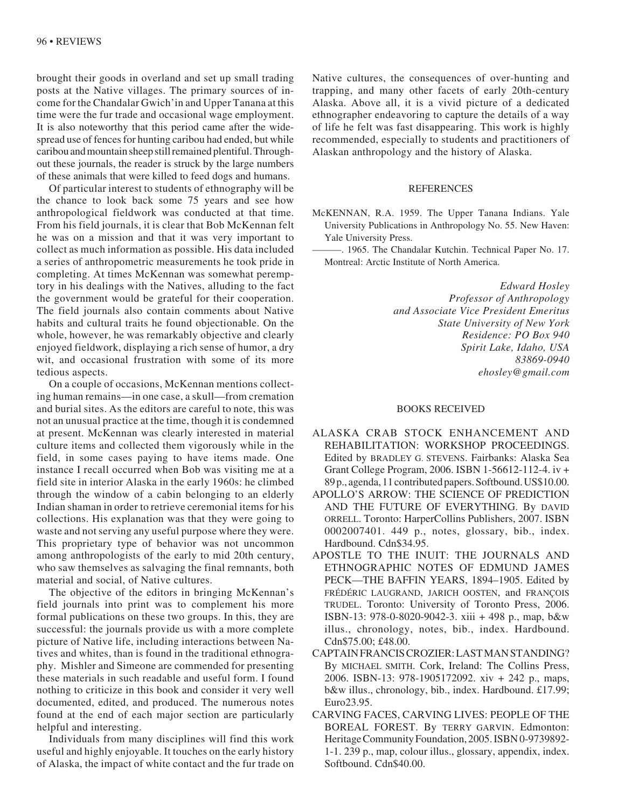brought their goods in overland and set up small trading posts at the Native villages. The primary sources of income for the Chandalar Gwich'in and Upper Tanana at this time were the fur trade and occasional wage employment. It is also noteworthy that this period came after the widespread use of fences for hunting caribou had ended, but while caribou and mountain sheep still remained plentiful. Throughout these journals, the reader is struck by the large numbers of these animals that were killed to feed dogs and humans.

Of particular interest to students of ethnography will be the chance to look back some 75 years and see how anthropological fieldwork was conducted at that time. From his field journals, it is clear that Bob McKennan felt he was on a mission and that it was very important to collect as much information as possible. His data included a series of anthropometric measurements he took pride in completing. At times McKennan was somewhat peremptory in his dealings with the Natives, alluding to the fact the government would be grateful for their cooperation. The field journals also contain comments about Native habits and cultural traits he found objectionable. On the whole, however, he was remarkably objective and clearly enjoyed fieldwork, displaying a rich sense of humor, a dry wit, and occasional frustration with some of its more tedious aspects.

On a couple of occasions, McKennan mentions collecting human remains—in one case, a skull—from cremation and burial sites. As the editors are careful to note, this was not an unusual practice at the time, though it is condemned at present. McKennan was clearly interested in material culture items and collected them vigorously while in the field, in some cases paying to have items made. One instance I recall occurred when Bob was visiting me at a field site in interior Alaska in the early 1960s: he climbed through the window of a cabin belonging to an elderly Indian shaman in order to retrieve ceremonial items for his collections. His explanation was that they were going to waste and not serving any useful purpose where they were. This proprietary type of behavior was not uncommon among anthropologists of the early to mid 20th century, who saw themselves as salvaging the final remnants, both material and social, of Native cultures.

The objective of the editors in bringing McKennan's field journals into print was to complement his more formal publications on these two groups. In this, they are successful: the journals provide us with a more complete picture of Native life, including interactions between Natives and whites, than is found in the traditional ethnography. Mishler and Simeone are commended for presenting these materials in such readable and useful form. I found nothing to criticize in this book and consider it very well documented, edited, and produced. The numerous notes found at the end of each major section are particularly helpful and interesting.

Individuals from many disciplines will find this work useful and highly enjoyable. It touches on the early history of Alaska, the impact of white contact and the fur trade on Native cultures, the consequences of over-hunting and trapping, and many other facets of early 20th-century Alaska. Above all, it is a vivid picture of a dedicated ethnographer endeavoring to capture the details of a way of life he felt was fast disappearing. This work is highly recommended, especially to students and practitioners of Alaskan anthropology and the history of Alaska.

## REFERENCES

- McKENNAN, R.A. 1959. The Upper Tanana Indians. Yale University Publications in Anthropology No. 55. New Haven: Yale University Press.
	- ———. 1965. The Chandalar Kutchin. Technical Paper No. 17. Montreal: Arctic Institute of North America.

*Edward Hosley Professor of Anthropology and Associate Vice President Emeritus State University of New York Residence: PO Box 940 Spirit Lake, Idaho, USA 83869-0940 ehosley@gmail.com*

## BOOKS RECEIVED

- ALASKA CRAB STOCK ENHANCEMENT AND REHABILITATION: WORKSHOP PROCEEDINGS. Edited by BRADLEY G. STEVENS. Fairbanks: Alaska Sea Grant College Program, 2006. ISBN 1-56612-112-4. iv + 89 p., agenda, 11 contributed papers. Softbound. US\$10.00.
- APOLLO'S ARROW: THE SCIENCE OF PREDICTION AND THE FUTURE OF EVERYTHING. By DAVID ORRELL. Toronto: HarperCollins Publishers, 2007. ISBN 0002007401. 449 p., notes, glossary, bib., index. Hardbound. Cdn\$34.95.
- APOSTLE TO THE INUIT: THE JOURNALS AND ETHNOGRAPHIC NOTES OF EDMUND JAMES PECK—THE BAFFIN YEARS, 1894–1905. Edited by FRÉDÉRIC LAUGRAND, JARICH OOSTEN, and FRANÇOIS TRUDEL. Toronto: University of Toronto Press, 2006. ISBN-13: 978-0-8020-9042-3. xiii + 498 p., map, b&w illus., chronology, notes, bib., index. Hardbound. Cdn\$75.00; £48.00.
- CAPTAIN FRANCIS CROZIER: LAST MAN STANDING? By MICHAEL SMITH. Cork, Ireland: The Collins Press, 2006. ISBN-13: 978-1905172092. xiv + 242 p., maps, b&w illus., chronology, bib., index. Hardbound. £17.99; Euro23.95.
- CARVING FACES, CARVING LIVES: PEOPLE OF THE BOREAL FOREST. By TERRY GARVIN. Edmonton: Heritage Community Foundation, 2005. ISBN 0-9739892- 1-1. 239 p., map, colour illus., glossary, appendix, index. Softbound. Cdn\$40.00.